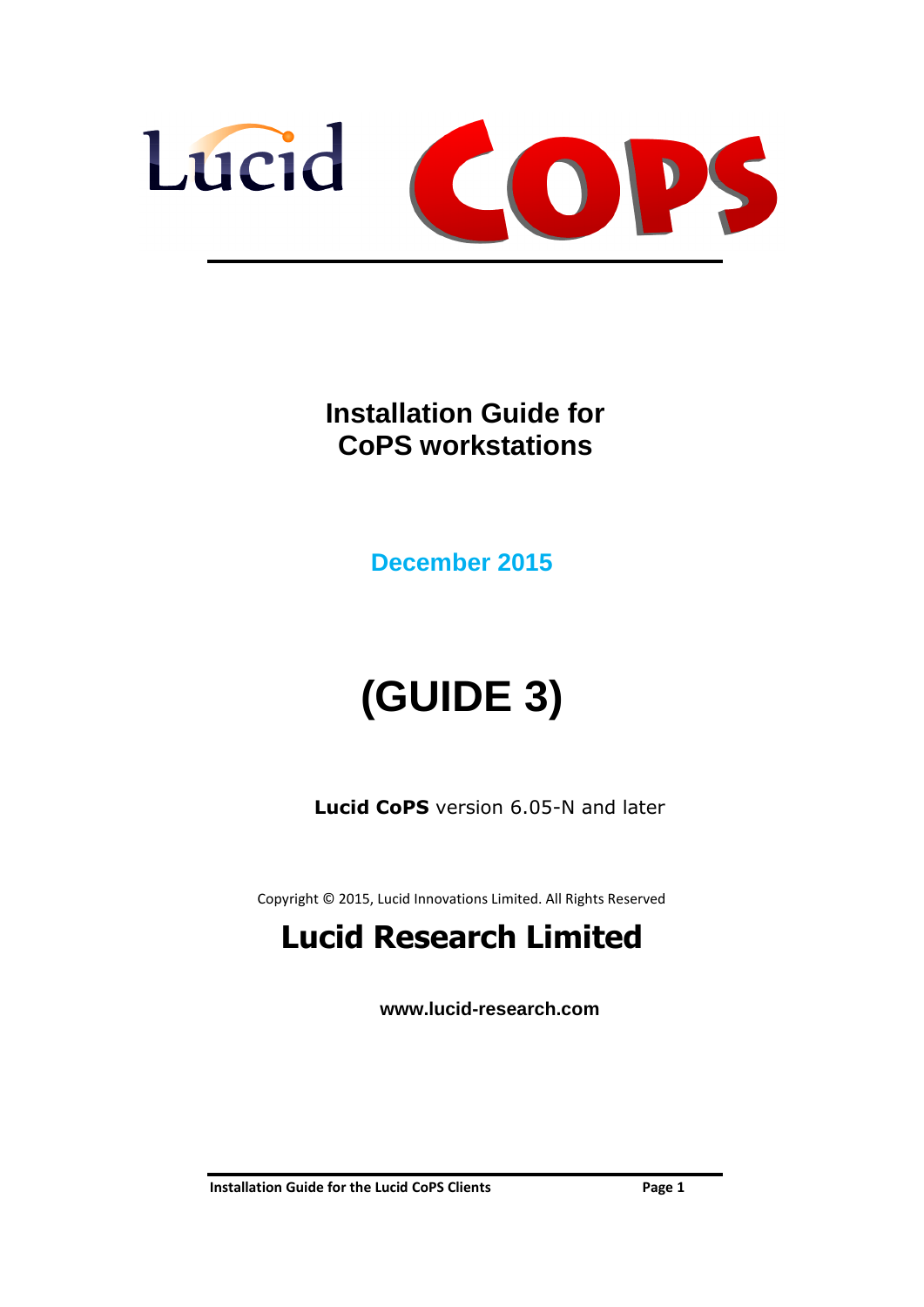

**Installation Guide for CoPS workstations**

**December 2015**

# **(GUIDE 3)**

**Lucid CoPS** version 6.05-N and later

Copyright © 2015, Lucid Innovations Limited. All Rights Reserved

# **Lucid Research Limited**

**www.lucid-research.com**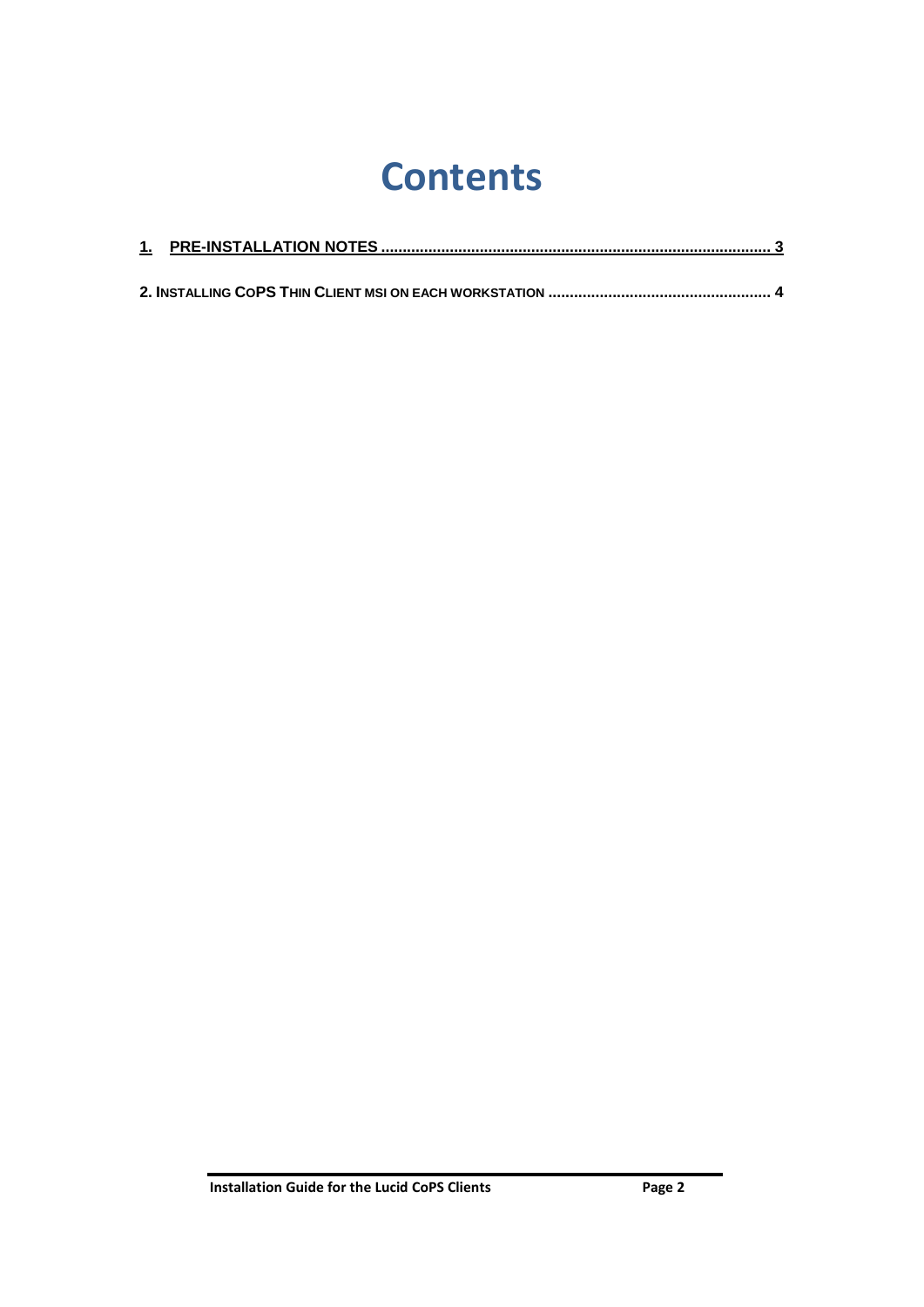# **Contents**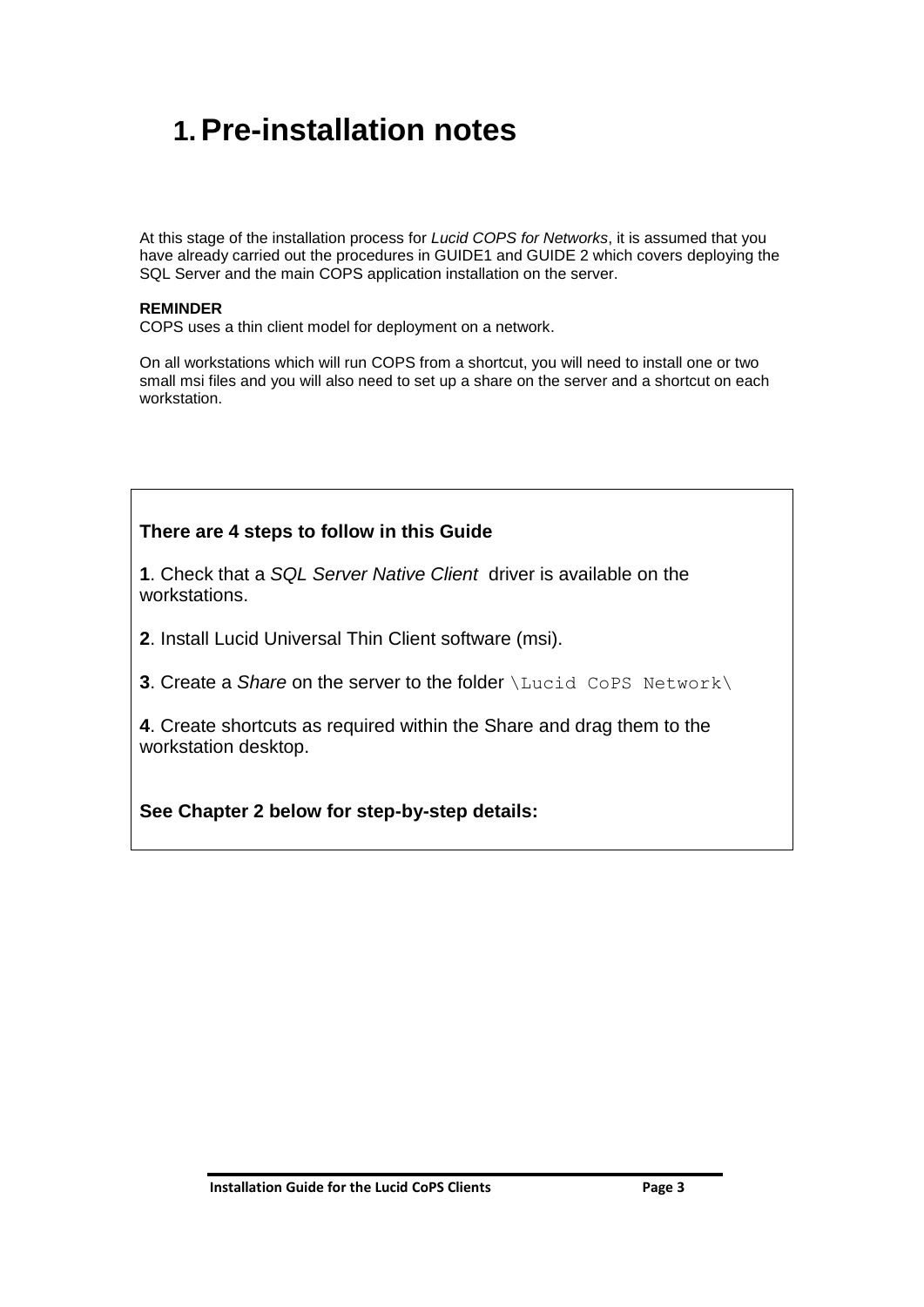## <span id="page-2-0"></span>**1.Pre-installation notes**

At this stage of the installation process for *Lucid COPS for Networks*, it is assumed that you have already carried out the procedures in GUIDE1 and GUIDE 2 which covers deploying the SQL Server and the main COPS application installation on the server.

#### **REMINDER**

COPS uses a thin client model for deployment on a network.

On all workstations which will run COPS from a shortcut, you will need to install one or two small msi files and you will also need to set up a share on the server and a shortcut on each workstation.

#### **There are 4 steps to follow in this Guide**

**1**. Check that a *SQL Server Native Client* driver is available on the workstations.

**2**. Install Lucid Universal Thin Client software (msi).

**3**. Create a *Share* on the server to the folder *\Lucid CoPS Network* \

**4**. Create shortcuts as required within the Share and drag them to the workstation desktop.

**See Chapter 2 below for step-by-step details:**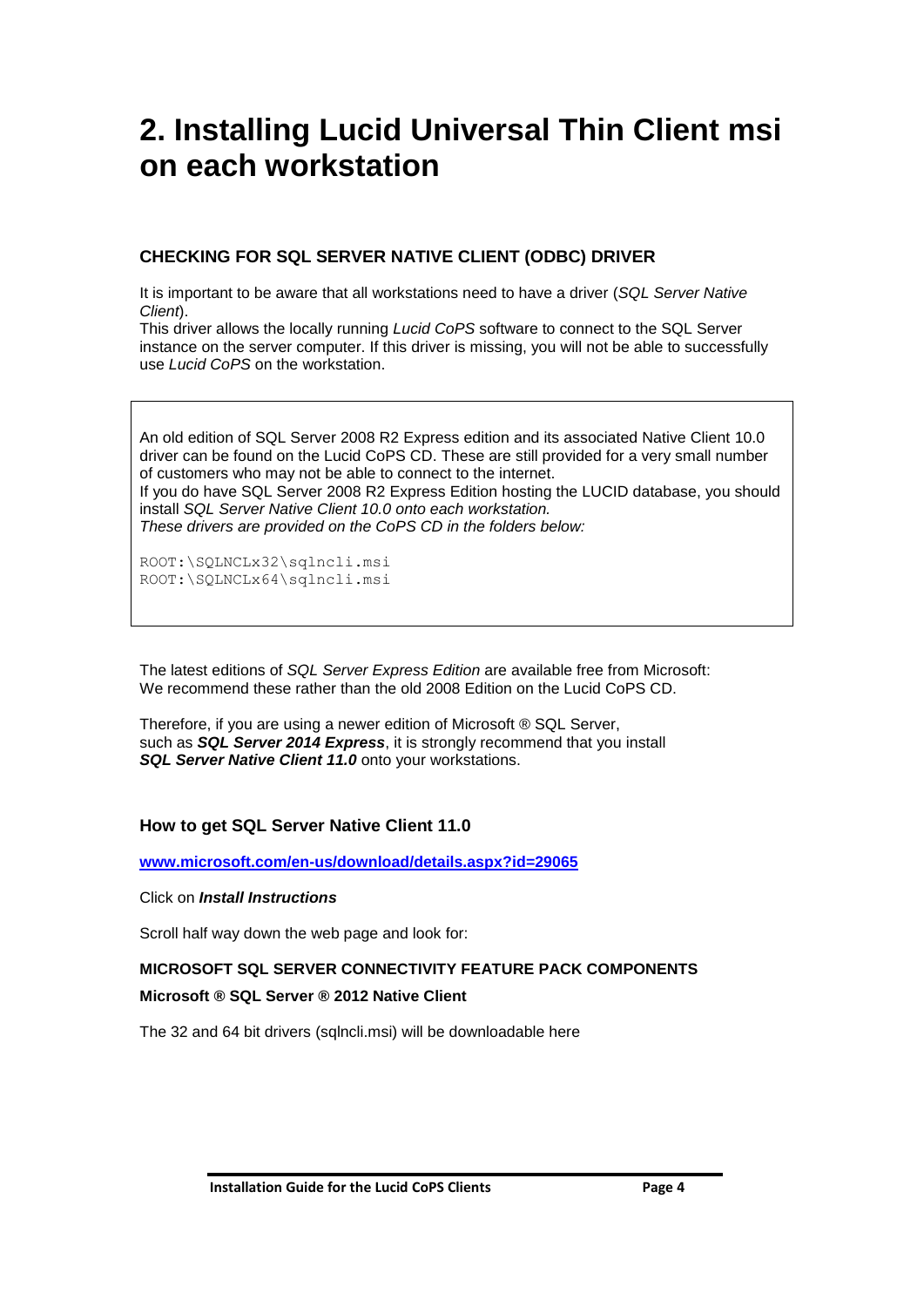## <span id="page-3-0"></span>**2. Installing Lucid Universal Thin Client msi on each workstation**

#### **CHECKING FOR SQL SERVER NATIVE CLIENT (ODBC) DRIVER**

It is important to be aware that all workstations need to have a driver (*SQL Server Native Client*).

This driver allows the locally running *Lucid CoPS* software to connect to the SQL Server instance on the server computer. If this driver is missing, you will not be able to successfully use *Lucid CoPS* on the workstation.

An old edition of SQL Server 2008 R2 Express edition and its associated Native Client 10.0 driver can be found on the Lucid CoPS CD. These are still provided for a very small number of customers who may not be able to connect to the internet. If you do have SQL Server 2008 R2 Express Edition hosting the LUCID database, you should install *SQL Server Native Client 10.0 onto each workstation. These drivers are provided on the CoPS CD in the folders below:*

ROOT:\SQLNCLx32\sqlncli.msi ROOT:\SQLNCLx64\sqlncli.msi

The latest editions of *SQL Server Express Edition* are available free from Microsoft: We recommend these rather than the old 2008 Edition on the Lucid CoPS CD.

Therefore, if you are using a newer edition of Microsoft ® SQL Server, such as *SQL Server 2014 Express*, it is strongly recommend that you install *SQL Server Native Client 11.0* onto your workstations.

#### **How to get SQL Server Native Client 11.0**

**[www.microsoft.com/en-us/download/details.aspx?id=29065](http://www.microsoft.com/en-us/download/details.aspx?id=29065)**

#### Click on *Install Instructions*

Scroll half way down the web page and look for:

#### **MICROSOFT SQL SERVER CONNECTIVITY FEATURE PACK COMPONENTS**

#### **Microsoft ® SQL Server ® 2012 Native Client**

The 32 and 64 bit drivers (sqlncli.msi) will be downloadable here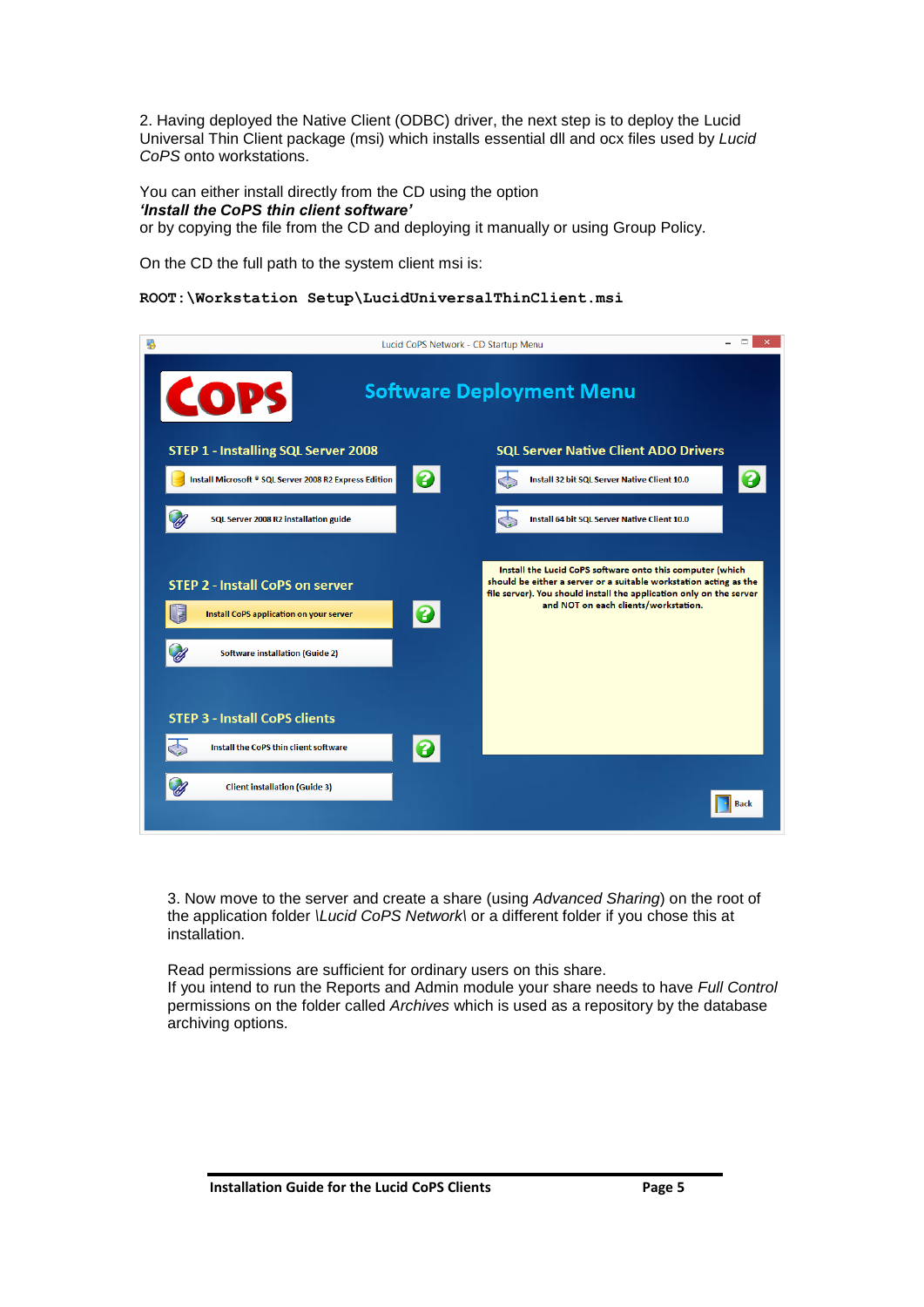2. Having deployed the Native Client (ODBC) driver, the next step is to deploy the Lucid Universal Thin Client package (msi) which installs essential dll and ocx files used by *Lucid CoPS* onto workstations.

You can either install directly from the CD using the option *'Install the CoPS thin client software'* or by copying the file from the CD and deploying it manually or using Group Policy.

On the CD the full path to the system client msi is:

#### **ROOT:\Workstation Setup\LucidUniversalThinClient.msi**

|                                                                                                                                    | Lucid CoPS Network - CD Startup Menu                                                                                                                                                                                                               |  |  |  |  |  |  |  |
|------------------------------------------------------------------------------------------------------------------------------------|----------------------------------------------------------------------------------------------------------------------------------------------------------------------------------------------------------------------------------------------------|--|--|--|--|--|--|--|
| COPS                                                                                                                               | <b>Software Deployment Menu</b>                                                                                                                                                                                                                    |  |  |  |  |  |  |  |
| <b>STEP 1 - Installing SQL Server 2008</b>                                                                                         | <b>SQL Server Native Client ADO Drivers</b>                                                                                                                                                                                                        |  |  |  |  |  |  |  |
| Install Microsoft ® SQL Server 2008 R2 Express Edition                                                                             | 3<br>Install 32 bit SQL Server Native Client 10.0                                                                                                                                                                                                  |  |  |  |  |  |  |  |
| SQL Server 2008 R2 installation guide                                                                                              | Install 64 bit SQL Server Native Client 10.0                                                                                                                                                                                                       |  |  |  |  |  |  |  |
| <b>STEP 2 - Install CoPS on server</b><br><b>Install CoPS application on your server</b><br><b>Software installation (Guide 2)</b> | Install the Lucid CoPS software onto this computer (which<br>should be either a server or a suitable workstation acting as the<br>file server). You should install the application only on the server<br>and NOT on each clients/workstation.<br>0 |  |  |  |  |  |  |  |
| <b>STEP 3 - Install CoPS clients</b>                                                                                               |                                                                                                                                                                                                                                                    |  |  |  |  |  |  |  |
| Install the CoPS thin client software                                                                                              |                                                                                                                                                                                                                                                    |  |  |  |  |  |  |  |
| <b>Client installation (Guide 3)</b>                                                                                               | Back                                                                                                                                                                                                                                               |  |  |  |  |  |  |  |

3. Now move to the server and create a share (using *Advanced Sharing*) on the root of the application folder *\Lucid CoPS Network\* or a different folder if you chose this at installation.

Read permissions are sufficient for ordinary users on this share.

If you intend to run the Reports and Admin module your share needs to have *Full Control* permissions on the folder called *Archives* which is used as a repository by the database archiving options.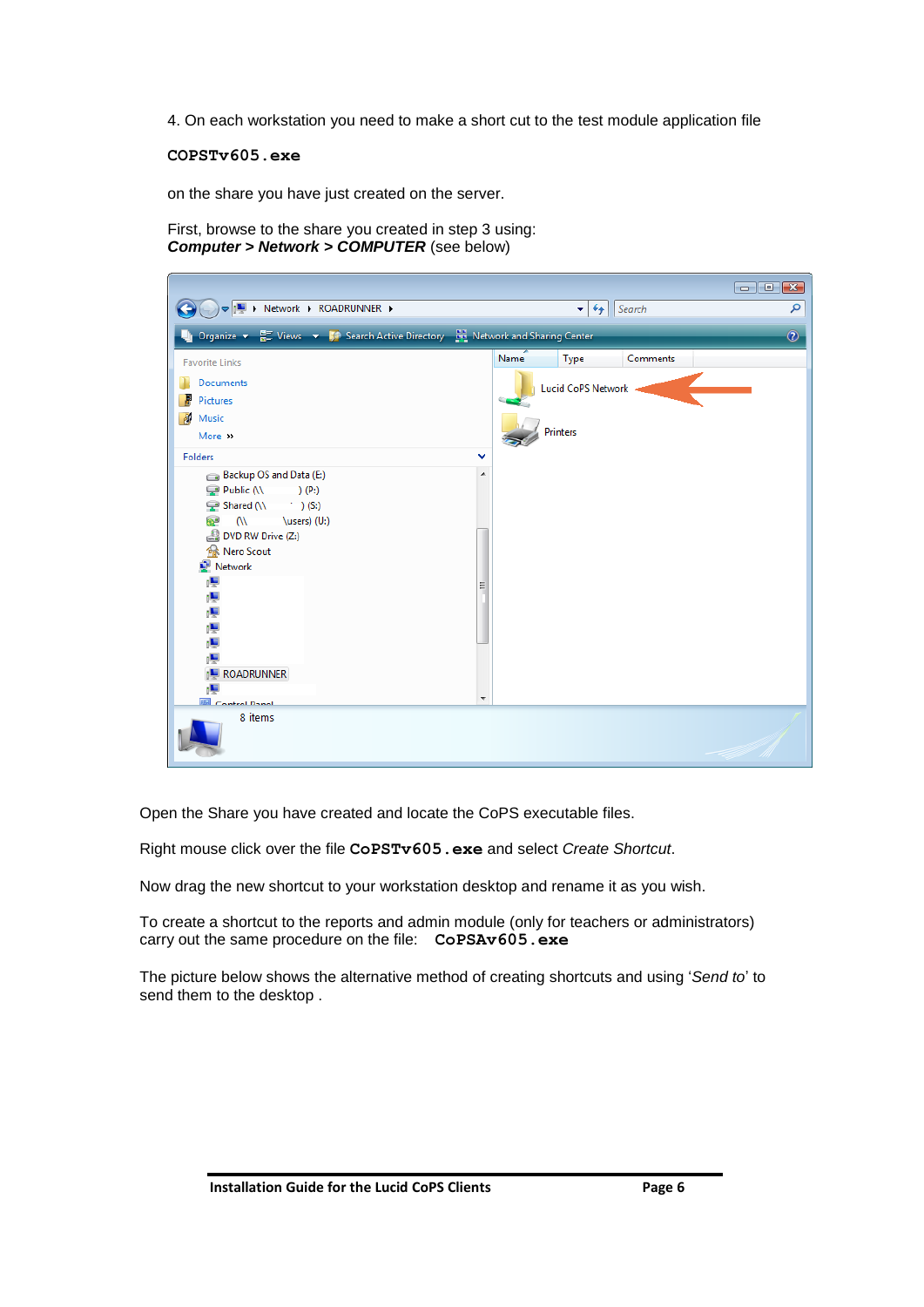4. On each workstation you need to make a short cut to the test module application file

**COPSTv605.exe**

on the share you have just created on the server.

First, browse to the share you created in step 3 using: *Computer > Network > COMPUTER* (see below)

|                                                                                                                                                                                                                                         | $\blacksquare$ $\blacksquare$ $\blacksquare$ |
|-----------------------------------------------------------------------------------------------------------------------------------------------------------------------------------------------------------------------------------------|----------------------------------------------|
| <b>IL Network &gt; ROADRUNNER &gt;</b>                                                                                                                                                                                                  | $\mathbf{v}$ $\mathbf{t}$<br>Search<br>م     |
| Organize v H Views v V Search Active Directory be Network and Sharing Center                                                                                                                                                            | $\circledcirc$                               |
| <b>Favorite Links</b>                                                                                                                                                                                                                   | Name<br>Type<br>Comments                     |
| Documents                                                                                                                                                                                                                               | Lucid CoPS Network -                         |
| Pictures<br>A.<br>Music                                                                                                                                                                                                                 |                                              |
| More >>                                                                                                                                                                                                                                 | Printers                                     |
| <b>Folders</b><br>v                                                                                                                                                                                                                     |                                              |
| Backup OS and Data (E:)<br>A.<br>Public (\\<br>(P:<br>Shared $(N \t)$ (S:)<br>\users) (U:)<br>$\omega$<br>æ<br>DVD RW Drive (Z:)<br>Reflex Nero Scout<br>Network<br><b>ROADRUNNER</b><br>$\overline{\nabla}$<br><b>ER</b> Control Danal |                                              |
| 8 items                                                                                                                                                                                                                                 |                                              |

Open the Share you have created and locate the CoPS executable files.

Right mouse click over the file **CoPSTv605.exe** and select *Create Shortcut*.

Now drag the new shortcut to your workstation desktop and rename it as you wish.

To create a shortcut to the reports and admin module (only for teachers or administrators) carry out the same procedure on the file: **CoPSAv605.exe**

The picture below shows the alternative method of creating shortcuts and using '*Send to*' to send them to the desktop .